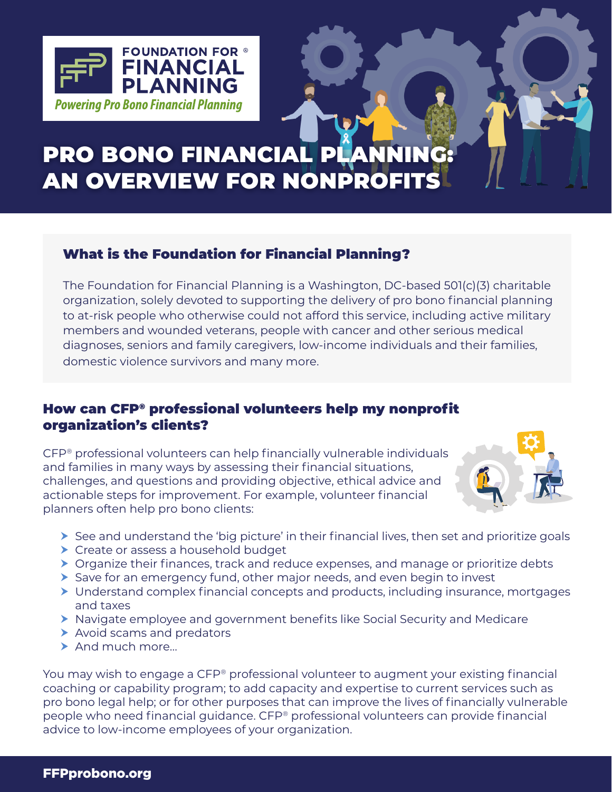

# PRO BONO FINANCIAL PLA AN OVERVIEW FOR NONPROFITS

# What is the Foundation for Financial Planning?

 The Foundation for Financial Planning is a Washington, DC-based 501(c)(3) charitable organization, solely devoted to supporting the delivery of pro bono financial planning to at-risk people who otherwise could not afford this service, including active military members and wounded veterans, people with cancer and other serious medical diagnoses, seniors and family caregivers, low-income individuals and their families, domestic violence survivors and many more.

# How can CFP® professional volunteers help my nonprofit organization's clients?

CFP® professional volunteers can help financially vulnerable individuals and families in many ways by assessing their financial situations, challenges, and questions and providing objective, ethical advice and actionable steps for improvement. For example, volunteer financial planners often help pro bono clients:



- $\triangleright$  See and understand the 'big picture' in their financial lives, then set and prioritize goals
- ▶ Create or assess a household budget
- ▶ Organize their finances, track and reduce expenses, and manage or prioritize debts
- $\triangleright$  Save for an emergency fund, other major needs, and even begin to invest
- Understand complex financial concepts and products, including insurance, mortgages and taxes
- Navigate employee and government benefits like Social Security and Medicare
- Avoid scams and predators
- ▶ And much more...

You may wish to engage a CFP® professional volunteer to augment your existing financial coaching or capability program; to add capacity and expertise to current services such as pro bono legal help; or for other purposes that can improve the lives of financially vulnerable people who need financial guidance. CFP® professional volunteers can provide financial advice to low-income employees of your organization.

#### FFPprobono.org